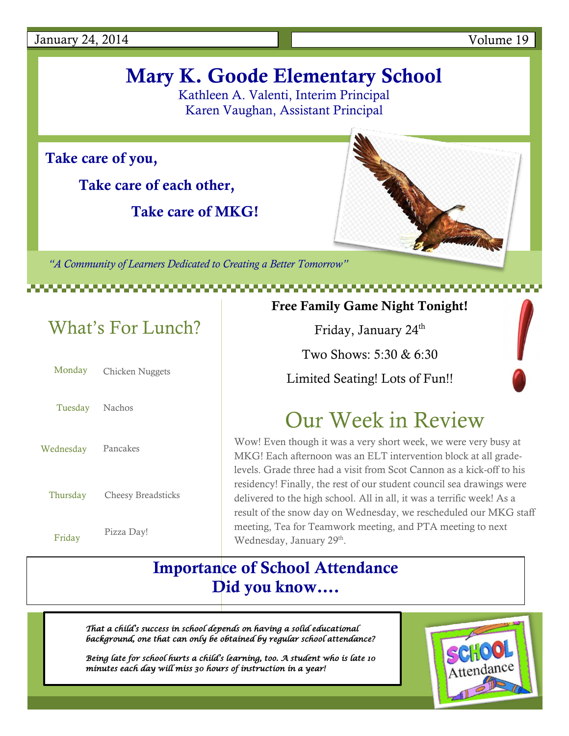January 24, 2014 Volume 19

# **Mary K. Goode Elementary School**

Kathleen A. Valenti, Interim Principal Karen Vaughan, Assistant Principal

**Take care of you,**

**Take care of each other,**

 **Take care of MKG!**

*"A Community of Learners Dedicated to Creating a Better Tomorrow"*

# What's For Lunch?

|                | Monday Chicken Nuggets |
|----------------|------------------------|
| Tuesday Nachos |                        |
| Wednesday      | Pancakes               |
| Thursday       | Cheesy Breadsticks     |
|                | Pizza Day!             |

Friday

## **Free Family Game Night Tonight!**

Friday, January 24<sup>th</sup>

Two Shows: 5:30 & 6:30

Limited Seating! Lots of Fun!!

# Our Week in Review

Wow! Even though it was a very short week, we were very busy at MKG! Each afternoon was an ELT intervention block at all gradelevels. Grade three had a visit from Scot Cannon as a kick-off to his residency! Finally, the rest of our student council sea drawings were delivered to the high school. All in all, it was a terrific week! As a result of the snow day on Wednesday, we rescheduled our MKG staff meeting, Tea for Teamwork meeting, and PTA meeting to next Wednesday, January 29<sup>th</sup>.

## **Importance of School Attendance Did you know….**

*That a child's success in school depends on having a solid educational background, one that can only be obtained by regular school attendance?* 

*Being late for school hurts a child's learning, too. A student who is late 10 minutes each day will miss 30 hours of instruction in a year!*